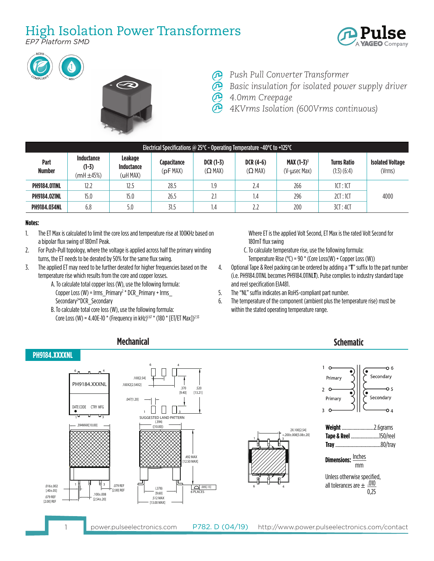## High Isolation Power Transformers

*EP7 Platform SMD*







- *Push Pull Converter Transformer*
- *Basic insulation for isolated power supply driver*
- *4.0mm Creepage*

*4KVrms Isolation (600Vrms continuous)*

| Electrical Specifications @ 25 $^{\circ}$ C - Operating Temperature -40 $^{\circ}$ C to +125 $^{\circ}$ C |                                         |                                   |                        |                         |                               |                                               |                                       |                                   |  |  |
|-----------------------------------------------------------------------------------------------------------|-----------------------------------------|-----------------------------------|------------------------|-------------------------|-------------------------------|-----------------------------------------------|---------------------------------------|-----------------------------------|--|--|
| Part<br><b>Number</b>                                                                                     | Inductance<br>$(1-3)$<br>$(mH \pm 45%)$ | Leakage<br>Inductance<br>(uH MAX) | Capacitance<br>(pFMAX) | $DCR(1-3)$<br>$(Q$ MAX) | $DCR(4-6)$<br>$( \Omega$ MAX) | <b>MAX</b> $(1-3)^1$<br>$(V$ - $\mu$ sec Max) | <b>Turns Ratio</b><br>$(1:3)$ $(6:4)$ | <b>Isolated Voltage</b><br>(Vrms) |  |  |
| <b>PH9184.011NL</b>                                                                                       | 12.2                                    | 12.5                              | 28.5                   | ر.                      | 2.4                           | 266                                           | 1CT:1CT                               |                                   |  |  |
| <b>PH9184.021NL</b>                                                                                       | 15.0                                    | 15.0                              | 26.5                   | 2.1                     | 1.4                           | 296                                           | 2CI:1CI                               | 4000                              |  |  |
| <b>PH9184.034NL</b>                                                                                       | 6.8                                     | 5.0                               | 31.5                   | ،4                      | 2.2                           | 200                                           | 3CT:4CT                               |                                   |  |  |

## **Notes:**

- 1. The ET Max is calculated to limit the core loss and temperature rise at 100KHz based on a bipolar flux swing of 180mT Peak.
- 2. For Push-Pull topology, where the voltage is applied across half the primary winding turns, the ET needs to be derated by 50% for the same flux swing.
- 3. The applied ET may need to be further derated for higher frequencies based on the temperature rise which results from the core and copper losses.
	- A. To calculate total copper loss (W), use the following formula: Copper Loss (W) =  $\text{lrms\_Primary}^2$  \* DCR\_Primary +  $\text{lrms\_}$ Secondary2 \*DCR\_Secondary
	- B. To calculate total core loss (W), use the following formula: Core Loss (W) = 4.40E-10 \* (Frequency in kHz)<sup>1.67</sup> \* (180 \* [ET/ET Max])<sup>2.53</sup>

 Where ET is the applied Volt Second, ET Max is the rated Volt Second for 180mT flux swing

- C. To calculate temperature rise, use the following formula: Temperature Rise ( $^{\circ}$ C) = 90  $^*$  (Core Loss(W) + Copper Loss (W))
- 4. Optional Tape & Reel packing can be ordered by adding a "**T**" suffix to the part number (i.e. PH9184.011NL becomes PH9184.011NL**T**). Pulse complies to industry standard tape and reel specification EIA481.
- 5. The "NL" suffix indicates an RoHS-compliant part number.
- 6. The temperature of the component (ambient plus the temperature rise) must be within the stated operating temperature range.